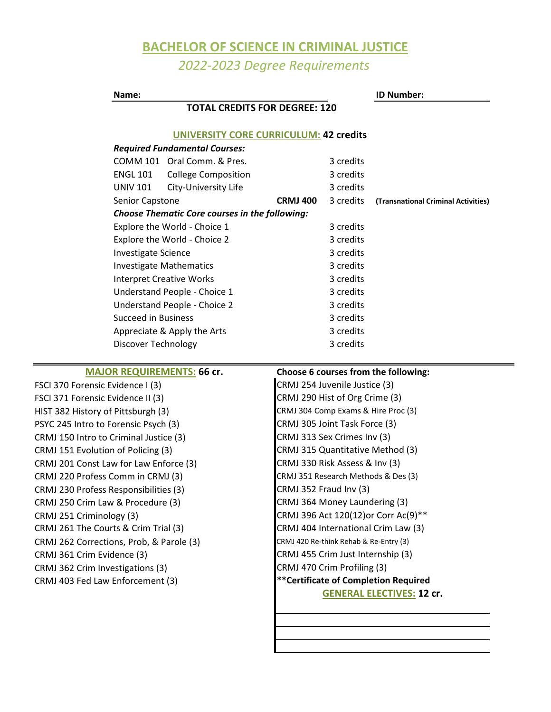## **BACHELOR OF SCIENCE IN CRIMINAL JUSTICE** *2022-2023 Degree Requirements*

| Name:                                |                 |                                                       |                                      | <b>ID Number:</b>                   |                                     |  |
|--------------------------------------|-----------------|-------------------------------------------------------|--------------------------------------|-------------------------------------|-------------------------------------|--|
|                                      |                 | <b>TOTAL CREDITS FOR DEGREE: 120</b>                  |                                      |                                     |                                     |  |
|                                      |                 | <b>UNIVERSITY CORE CURRICULUM: 42 credits</b>         |                                      |                                     |                                     |  |
|                                      |                 | <b>Required Fundamental Courses:</b>                  |                                      |                                     |                                     |  |
|                                      |                 | COMM 101 Oral Comm. & Pres.                           |                                      | 3 credits                           |                                     |  |
| <b>ENGL 101</b>                      |                 | <b>College Composition</b>                            |                                      | 3 credits                           |                                     |  |
| <b>UNIV 101</b>                      |                 | City-University Life                                  |                                      | 3 credits                           |                                     |  |
|                                      | Senior Capstone |                                                       | <b>CRMJ 400</b>                      | 3 credits                           | (Transnational Criminal Activities) |  |
|                                      |                 | <b>Choose Thematic Core courses in the following:</b> |                                      |                                     |                                     |  |
| Explore the World - Choice 1         |                 |                                                       |                                      | 3 credits                           |                                     |  |
| Explore the World - Choice 2         |                 |                                                       |                                      | 3 credits                           |                                     |  |
| <b>Investigate Science</b>           |                 |                                                       |                                      | 3 credits                           |                                     |  |
| <b>Investigate Mathematics</b>       |                 |                                                       |                                      | 3 credits                           |                                     |  |
| <b>Interpret Creative Works</b>      |                 |                                                       |                                      | 3 credits                           |                                     |  |
| Understand People - Choice 1         |                 |                                                       |                                      | 3 credits                           |                                     |  |
| Understand People - Choice 2         |                 |                                                       |                                      | 3 credits                           |                                     |  |
| <b>Succeed in Business</b>           |                 |                                                       |                                      | 3 credits                           |                                     |  |
| Appreciate & Apply the Arts          |                 |                                                       |                                      | 3 credits                           |                                     |  |
| Discover Technology                  |                 |                                                       |                                      | 3 credits                           |                                     |  |
| <b>MAJOR REQUIREMENTS: 66 cr.</b>    |                 |                                                       | Choose 6 courses from the following: |                                     |                                     |  |
| FSCI 370 Forensic Evidence I (3)     |                 |                                                       |                                      | CRMJ 254 Juvenile Justice (3)       |                                     |  |
| FSCI 371 Forensic Evidence II (3)    |                 |                                                       |                                      | CRMJ 290 Hist of Org Crime (3)      |                                     |  |
| HIST 382 History of Pittsburgh (3)   |                 |                                                       |                                      | CRMJ 304 Comp Exams & Hire Proc (3) |                                     |  |
| PSYC 245 Intro to Forensic Psych (3) |                 |                                                       |                                      | CRMJ 305 Joint Task Force (3)       |                                     |  |

CRMJ 220 Profess Comm in CRMJ (3) CRMJ 230 Profess Responsibilities (3) FSCI 371 Foren HIST 382 Histor PSYC 245 Intro CRMJ 151 Evolution of Policing (3) CRMJ 201 Const Law for Law Enforce (3) CRMJ 262 Corrections, Prob, & Parole (3) CRMJ 250 Crim Law & Procedure (3) CRMJ 251 Criminology (3) CRMJ 261 The Courts & Crim Trial (3) CRMJ 150 Intro to Criminal Justice (3) CRMJ 313 Sex Crimes Inv (3)

CRMJ 361 Crim Evidence (3) CRMJ 362 Crim Investigations (3)

CRMJ 403 Fed Law Enforcement (3)

CRMJ 364 Money Laundering (3) CRMJ 396 Act 120(12)or Corr Ac(9)\*\* **GENERAL ELECTIVES: 12 cr. \*\*Certificate of Completion Required** CRMJ 455 Crim Just Internship (3) CRMJ 470 Crim Profiling (3) CRMJ 420 Re-think Rehab & Re-Entry (3) CRMJ 315 Quantitative Method (3) CRMJ 404 International Crim Law (3) CRMJ 330 Risk Assess & Inv (3) CRMJ 351 Research Methods & Des (3) CRMJ 352 Fraud Inv (3) CRMJ 305 Joint Task Force (3)